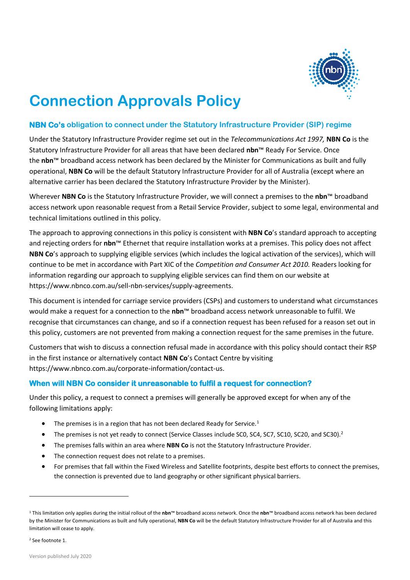

## **Connection Approvals Policy**

## **NBN Co's obligation to connect under the Statutory Infrastructure Provider (SIP) regime**

Under the Statutory Infrastructure Provider regime set out in the *Telecommunications Act 1997,* **NBN Co** is the Statutory Infrastructure Provider for all areas that have been declared **nbn**™ Ready For Service. Once the **nbn**™ broadband access network has been declared by the Minister for Communications as built and fully operational, **NBN Co** will be the default Statutory Infrastructure Provider for all of Australia (except where an alternative carrier has been declared the Statutory Infrastructure Provider by the Minister).

Wherever **NBN Co** is the Statutory Infrastructure Provider, we will connect a premises to the **nbn**™ broadband access network upon reasonable request from a Retail Service Provider, subject to some legal, environmental and technical limitations outlined in this policy.

The approach to approving connections in this policy is consistent with **NBN Co**'s standard approach to accepting and rejecting orders for **nbn**™ Ethernet that require installation works at a premises. This policy does not affect **NBN Co**'s approach to supplying eligible services (which includes the logical activation of the services), which will continue to be met in accordance with Part XIC of the *Competition and Consumer Act 2010.* Readers looking for information regarding our approach to supplying eligible services can find them on our website at https://www.nbnco.com.au/sell-nbn-services/supply-agreements.

This document is intended for carriage service providers (CSPs) and customers to understand what circumstances would make a request for a connection to the **nbn**™ broadband access network unreasonable to fulfil. We recognise that circumstances can change, and so if a connection request has been refused for a reason set out in this policy, customers are not prevented from making a connection request for the same premises in the future.

Customers that wish to discuss a connection refusal made in accordance with this policy should contact their RSP in the first instance or alternatively contact **NBN Co**'s Contact Centre by visiting https://www.nbnco.com.au/corporate-information/contact-us.

## **When will NBN Co consider it unreasonable to fulfil a request for connection?**

Under this policy, a request to connect a premises will generally be approved except for when any of the following limitations apply:

- The premises is in a region that has not been declared Ready for Service.<sup>1</sup>
- The premises is not yet ready to connect (Service Classes include SCO, SC4, SC7, SC10, SC20, and SC30).<sup>2</sup>
- The premises falls within an area where **NBN Co** is not the Statutory Infrastructure Provider.
- The connection request does not relate to a premises.
- For premises that fall within the Fixed Wireless and Satellite footprints, despite best efforts to connect the premises, the connection is prevented due to land geography or other significant physical barriers.

<sup>1</sup> This limitation only applies during the initial rollout of the **nbn**™ broadband access network. Once the **nbn**™ broadband access network has been declared by the Minister for Communications as built and fully operational, **NBN Co** will be the default Statutory Infrastructure Provider for all of Australia and this limitation will cease to apply.